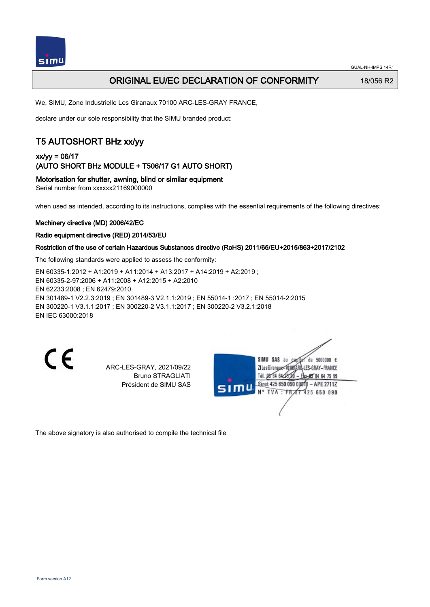

### ORIGINAL EU/EC DECLARATION OF CONFORMITY 18/056 R2

We, SIMU, Zone Industrielle Les Giranaux 70100 ARC-LES-GRAY FRANCE,

declare under our sole responsibility that the SIMU branded product:

## T5 AUTOSHORT BHz xx/yy

### xx/yy = 06/17 (AUTO SHORT BHz MODULE + T506/17 G1 AUTO SHORT)

Motorisation for shutter, awning, blind or similar equipment

Serial number from xxxxxx21169000000

when used as intended, according to its instructions, complies with the essential requirements of the following directives:

### Machinery directive (MD) 2006/42/EC

#### Radio equipment directive (RED) 2014/53/EU

#### Restriction of the use of certain Hazardous Substances directive (RoHS) 2011/65/EU+2015/863+2017/2102

The following standards were applied to assess the conformity:

EN 60335‑1:2012 + A1:2019 + A11:2014 + A13:2017 + A14:2019 + A2:2019 ; EN 60335‑2‑97:2006 + A11:2008 + A12:2015 + A2:2010 EN 62233:2008 ; EN 62479:2010 EN 301489‑1 V2.2.3:2019 ; EN 301489‑3 V2.1.1:2019 ; EN 55014‑1 :2017 ; EN 55014‑2:2015 EN 300220‑1 V3.1.1:2017 ; EN 300220‑2 V3.1.1:2017 ; EN 300220‑2 V3.2.1:2018 EN IEC 63000:2018

 $\epsilon$ 

ARC-LES-GRAY, 2021/09/22 Bruno STRAGLIATI Président de SIMU SAS

SIMU SAS au de 5000000  $\epsilon$ ZI Les Giranaux=70180ARQ-LES-GRAY-FRANCE Tél. 08 84 64 28 584 64 75 99 Siret 425 650 090 00811 - APE 2711Z TVA: FR 67 425 650 090

The above signatory is also authorised to compile the technical file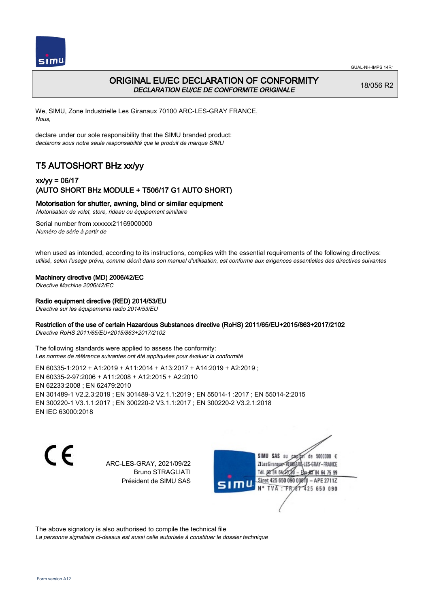

## ORIGINAL EU/EC DECLARATION OF CONFORMITY DECLARATION EU/CE DE CONFORMITE ORIGINALE

18/056 R2

We, SIMU, Zone Industrielle Les Giranaux 70100 ARC-LES-GRAY FRANCE, Nous,

declare under our sole responsibility that the SIMU branded product: declarons sous notre seule responsabilité que le produit de marque SIMU

# T5 AUTOSHORT BHz xx/yy

### xx/yy = 06/17 (AUTO SHORT BHz MODULE + T506/17 G1 AUTO SHORT)

Motorisation for shutter, awning, blind or similar equipment

Motorisation de volet, store, rideau ou équipement similaire

Serial number from xxxxxx21169000000 Numéro de série à partir de

when used as intended, according to its instructions, complies with the essential requirements of the following directives: utilisé, selon l'usage prévu, comme décrit dans son manuel d'utilisation, est conforme aux exigences essentielles des directives suivantes

#### Machinery directive (MD) 2006/42/EC

Directive Machine 2006/42/EC

#### Radio equipment directive (RED) 2014/53/EU

Directive sur les équipements radio 2014/53/EU

### Restriction of the use of certain Hazardous Substances directive (RoHS) 2011/65/EU+2015/863+2017/2102

Directive RoHS 2011/65/EU+2015/863+2017/2102

The following standards were applied to assess the conformity: Les normes de référence suivantes ont été appliquées pour évaluer la conformité

EN 60335‑1:2012 + A1:2019 + A11:2014 + A13:2017 + A14:2019 + A2:2019 ; EN 60335‑2‑97:2006 + A11:2008 + A12:2015 + A2:2010 EN 62233:2008 ; EN 62479:2010 EN 301489‑1 V2.2.3:2019 ; EN 301489‑3 V2.1.1:2019 ; EN 55014‑1 :2017 ; EN 55014‑2:2015 EN 300220‑1 V3.1.1:2017 ; EN 300220‑2 V3.1.1:2017 ; EN 300220‑2 V3.2.1:2018 EN IEC 63000:2018

C E

ARC-LES-GRAY, 2021/09/22 Bruno STRAGLIATI Président de SIMU SAS

de 5000000  $\epsilon$ SIMU SAS au ZI Les Giranaux<sup>2</sup> ES-GRAY-FRANCE Tél. 08 84 64 2 64 75 99 Siret 425 650 090 00811  $-$  APF 27117 125 650 090

The above signatory is also authorised to compile the technical file

La personne signataire ci-dessus est aussi celle autorisée à constituer le dossier technique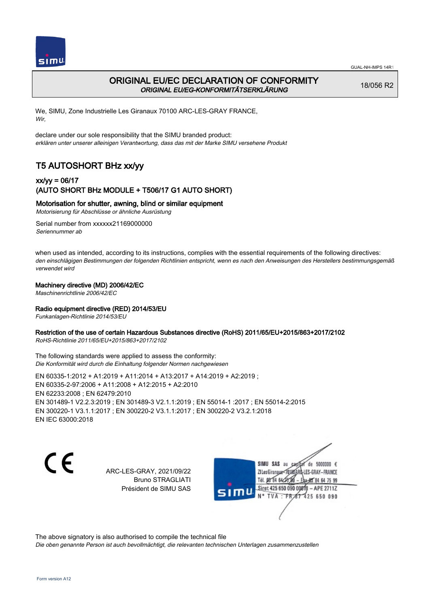



### ORIGINAL EU/EC DECLARATION OF CONFORMITY ORIGINAL EU/EG-KONFORMITÄTSERKLÄRUNG

18/056 R2

We, SIMU, Zone Industrielle Les Giranaux 70100 ARC-LES-GRAY FRANCE, Wir,

declare under our sole responsibility that the SIMU branded product: erklären unter unserer alleinigen Verantwortung, dass das mit der Marke SIMU versehene Produkt

## T5 AUTOSHORT BHz xx/yy

### xx/yy = 06/17 (AUTO SHORT BHz MODULE + T506/17 G1 AUTO SHORT)

### Motorisation for shutter, awning, blind or similar equipment

Motorisierung für Abschlüsse or ähnliche Ausrüstung

Serial number from xxxxxx21169000000 Seriennummer ab

when used as intended, according to its instructions, complies with the essential requirements of the following directives: den einschlägigen Bestimmungen der folgenden Richtlinien entspricht, wenn es nach den Anweisungen des Herstellers bestimmungsgemäß verwendet wird

#### Machinery directive (MD) 2006/42/EC

Maschinenrichtlinie 2006/42/EC

#### Radio equipment directive (RED) 2014/53/EU

Funkanlagen-Richtlinie 2014/53/EU

#### Restriction of the use of certain Hazardous Substances directive (RoHS) 2011/65/EU+2015/863+2017/2102

RoHS-Richtlinie 2011/65/EU+2015/863+2017/2102

The following standards were applied to assess the conformity: Die Konformität wird durch die Einhaltung folgender Normen nachgewiesen

EN 60335‑1:2012 + A1:2019 + A11:2014 + A13:2017 + A14:2019 + A2:2019 ; EN 60335‑2‑97:2006 + A11:2008 + A12:2015 + A2:2010 EN 62233:2008 ; EN 62479:2010 EN 301489‑1 V2.2.3:2019 ; EN 301489‑3 V2.1.1:2019 ; EN 55014‑1 :2017 ; EN 55014‑2:2015 EN 300220‑1 V3.1.1:2017 ; EN 300220‑2 V3.1.1:2017 ; EN 300220‑2 V3.2.1:2018 EN IEC 63000:2018

C F

ARC-LES-GRAY, 2021/09/22 Bruno STRAGLIATI Président de SIMU SAS

de 5000000  $\epsilon$ SIMU SAS au ZI Les Giranauxe LES-GRAY-FRANCE Tél. 08 84 64 24 95 84 64 75 99 Siret 425 650 090 00811 - APE 2711Z  $TVA$ : FRAT 425 650 090

The above signatory is also authorised to compile the technical file

Die oben genannte Person ist auch bevollmächtigt, die relevanten technischen Unterlagen zusammenzustellen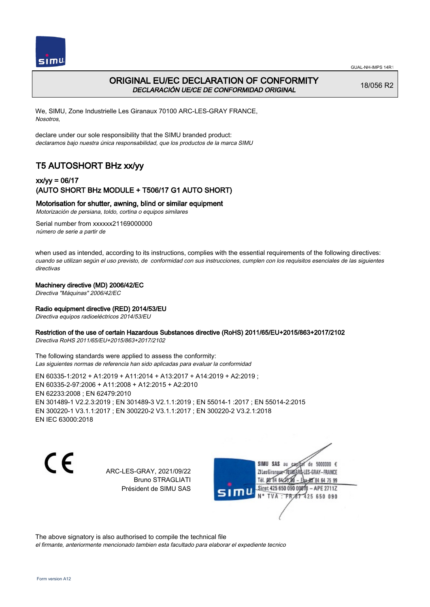



## ORIGINAL EU/EC DECLARATION OF CONFORMITY DECLARACIÓN UE/CE DE CONFORMIDAD ORIGINAL

18/056 R2

We, SIMU, Zone Industrielle Les Giranaux 70100 ARC-LES-GRAY FRANCE, Nosotros,

declare under our sole responsibility that the SIMU branded product: declaramos bajo nuestra única responsabilidad, que los productos de la marca SIMU

## T5 AUTOSHORT BHz xx/yy

### xx/yy = 06/17 (AUTO SHORT BHz MODULE + T506/17 G1 AUTO SHORT)

### Motorisation for shutter, awning, blind or similar equipment

Motorización de persiana, toldo, cortina o equipos similares

Serial number from xxxxxx21169000000 número de serie a partir de

when used as intended, according to its instructions, complies with the essential requirements of the following directives: cuando se utilizan según el uso previsto, de conformidad con sus instrucciones, cumplen con los requisitos esenciales de las siguientes directivas

#### Machinery directive (MD) 2006/42/EC

Directiva "Máquinas" 2006/42/EC

#### Radio equipment directive (RED) 2014/53/EU

Directiva equipos radioeléctricos 2014/53/EU

#### Restriction of the use of certain Hazardous Substances directive (RoHS) 2011/65/EU+2015/863+2017/2102

Directiva RoHS 2011/65/EU+2015/863+2017/2102

The following standards were applied to assess the conformity: Las siguientes normas de referencia han sido aplicadas para evaluar la conformidad

EN 60335‑1:2012 + A1:2019 + A11:2014 + A13:2017 + A14:2019 + A2:2019 ; EN 60335‑2‑97:2006 + A11:2008 + A12:2015 + A2:2010 EN 62233:2008 ; EN 62479:2010 EN 301489‑1 V2.2.3:2019 ; EN 301489‑3 V2.1.1:2019 ; EN 55014‑1 :2017 ; EN 55014‑2:2015 EN 300220‑1 V3.1.1:2017 ; EN 300220‑2 V3.1.1:2017 ; EN 300220‑2 V3.2.1:2018 EN IEC 63000:2018

C E

ARC-LES-GRAY, 2021/09/22 Bruno STRAGLIATI Président de SIMU SAS

de 5000000  $\epsilon$ SIMU SAS au ZI Les Giranaux< LES-GRAY-FRANCE Tél. 08 84 64 24 95 84 64 75 99 Siret 425 650 090 00811 - APE 2711Z TVA: FR 67 425 650 090

The above signatory is also authorised to compile the technical file el firmante, anteriormente mencionado tambien esta facultado para elaborar el expediente tecnico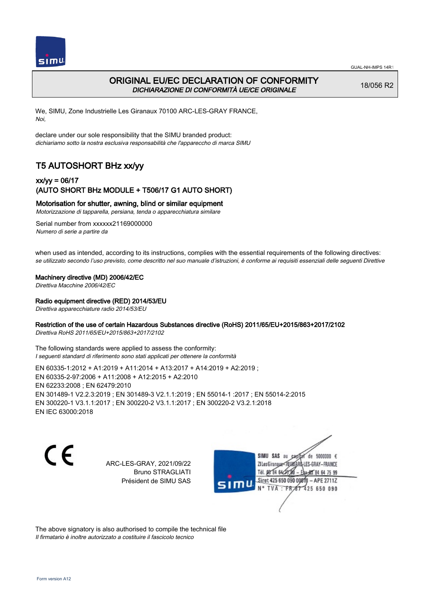

## ORIGINAL EU/EC DECLARATION OF CONFORMITY DICHIARAZIONE DI CONFORMITÀ UE/CE ORIGINALE

18/056 R2

We, SIMU, Zone Industrielle Les Giranaux 70100 ARC-LES-GRAY FRANCE, Noi,

declare under our sole responsibility that the SIMU branded product: dichiariamo sotto la nostra esclusiva responsabilità che l'appareccho di marca SIMU

# T5 AUTOSHORT BHz xx/yy

### xx/yy = 06/17 (AUTO SHORT BHz MODULE + T506/17 G1 AUTO SHORT)

#### Motorisation for shutter, awning, blind or similar equipment

Motorizzazione di tapparella, persiana, tenda o apparecchiatura similare

Serial number from xxxxxx21169000000 Numero di serie a partire da

when used as intended, according to its instructions, complies with the essential requirements of the following directives: se utilizzato secondo l'uso previsto, come descritto nel suo manuale d'istruzioni, è conforme ai requisiti essenziali delle seguenti Direttive

#### Machinery directive (MD) 2006/42/EC

Direttiva Macchine 2006/42/EC

#### Radio equipment directive (RED) 2014/53/EU

Direttiva apparecchiature radio 2014/53/EU

### Restriction of the use of certain Hazardous Substances directive (RoHS) 2011/65/EU+2015/863+2017/2102

Direttiva RoHS 2011/65/EU+2015/863+2017/2102

The following standards were applied to assess the conformity: I seguenti standard di riferimento sono stati applicati per ottenere la conformità

EN 60335‑1:2012 + A1:2019 + A11:2014 + A13:2017 + A14:2019 + A2:2019 ; EN 60335‑2‑97:2006 + A11:2008 + A12:2015 + A2:2010 EN 62233:2008 ; EN 62479:2010 EN 301489‑1 V2.2.3:2019 ; EN 301489‑3 V2.1.1:2019 ; EN 55014‑1 :2017 ; EN 55014‑2:2015 EN 300220‑1 V3.1.1:2017 ; EN 300220‑2 V3.1.1:2017 ; EN 300220‑2 V3.2.1:2018 EN IEC 63000:2018

C E

ARC-LES-GRAY, 2021/09/22 Bruno STRAGLIATI Président de SIMU SAS

de 5000000  $\epsilon$ SIMU SAS au ZI Les Giranaux< ES-GRAY-FRANCE Tél. 08 84 64 2 64 75 99 Siret 425 650 090 00811  $-$  APF 27117 125 650 090

The above signatory is also authorised to compile the technical file Il firmatario è inoltre autorizzato a costituire il fascicolo tecnico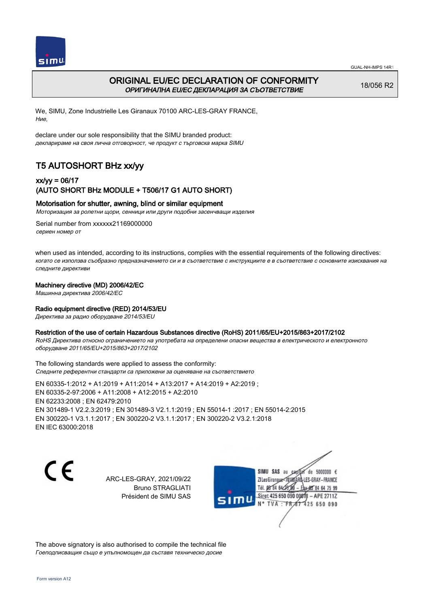



## ORIGINAL EU/EC DECLARATION OF CONFORMITY ОРИГИНАЛНА EU/EC ДЕКЛАРАЦИЯ ЗА СЪОТВЕТСТВИЕ

18/056 R2

We, SIMU, Zone Industrielle Les Giranaux 70100 ARC-LES-GRAY FRANCE, Ние,

declare under our sole responsibility that the SIMU branded product: декларираме на своя лична отговорност, че продукт с търговска марка SIMU

## T5 AUTOSHORT BHz xx/yy

### xx/yy = 06/17 (AUTO SHORT BHz MODULE + T506/17 G1 AUTO SHORT)

#### Motorisation for shutter, awning, blind or similar equipment

Моторизация за ролетни щори, сенници или други подобни засенчващи изделия

Serial number from xxxxxx21169000000 сериен номер от

when used as intended, according to its instructions, complies with the essential requirements of the following directives: когато се използва съобразно предназначението си и в съответствие с инструкциите е в съответствие с основните изисквания на следните директиви

#### Machinery directive (MD) 2006/42/EC

Машинна директива 2006/42/EC

#### Radio equipment directive (RED) 2014/53/EU

Директива за радио оборудване 2014/53/EU

#### Restriction of the use of certain Hazardous Substances directive (RoHS) 2011/65/EU+2015/863+2017/2102

RoHS Директива относно ограничението на употребата на определени опасни вещества в електрическото и електронното оборудване 2011/65/EU+2015/863+2017/2102

The following standards were applied to assess the conformity: Следните референтни стандарти са приложени за оценяване на съответствието

EN 60335‑1:2012 + A1:2019 + A11:2014 + A13:2017 + A14:2019 + A2:2019 ; EN 60335‑2‑97:2006 + A11:2008 + A12:2015 + A2:2010 EN 62233:2008 ; EN 62479:2010 EN 301489‑1 V2.2.3:2019 ; EN 301489‑3 V2.1.1:2019 ; EN 55014‑1 :2017 ; EN 55014‑2:2015 EN 300220‑1 V3.1.1:2017 ; EN 300220‑2 V3.1.1:2017 ; EN 300220‑2 V3.2.1:2018 EN IEC 63000:2018

CE

ARC-LES-GRAY, 2021/09/22 Bruno STRAGLIATI Président de SIMU SAS



The above signatory is also authorised to compile the technical file Гоеподписващия също е упълномощен да съставя техническо досие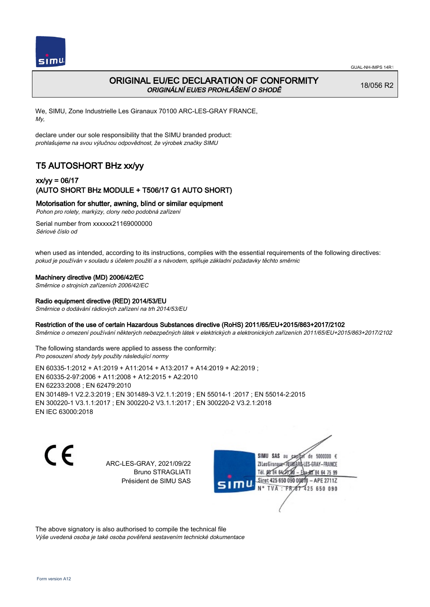

## ORIGINAL EU/EC DECLARATION OF CONFORMITY ORIGINÁLNÍ EU/ES PROHLÁŠENÍ O SHODĚ

18/056 R2

We, SIMU, Zone Industrielle Les Giranaux 70100 ARC-LES-GRAY FRANCE, My,

declare under our sole responsibility that the SIMU branded product: prohlašujeme na svou výlučnou odpovědnost, že výrobek značky SIMU

# T5 AUTOSHORT BHz xx/yy

### xx/yy = 06/17 (AUTO SHORT BHz MODULE + T506/17 G1 AUTO SHORT)

### Motorisation for shutter, awning, blind or similar equipment

Pohon pro rolety, markýzy, clony nebo podobná zařízení

Serial number from xxxxxx21169000000 Sériové číslo od

when used as intended, according to its instructions, complies with the essential requirements of the following directives: pokud je používán v souladu s účelem použití a s návodem, splňuje základní požadavky těchto směrnic

#### Machinery directive (MD) 2006/42/EC

Směrnice o strojních zařízeních 2006/42/EC

#### Radio equipment directive (RED) 2014/53/EU

Směrnice o dodávání rádiových zařízení na trh 2014/53/EU

#### Restriction of the use of certain Hazardous Substances directive (RoHS) 2011/65/EU+2015/863+2017/2102

Směrnice o omezení používání některých nebezpečných látek v elektrických a elektronických zařízeních 2011/65/EU+2015/863+2017/2102

The following standards were applied to assess the conformity: Pro posouzení shody byly použity následující normy

EN 60335‑1:2012 + A1:2019 + A11:2014 + A13:2017 + A14:2019 + A2:2019 ; EN 60335‑2‑97:2006 + A11:2008 + A12:2015 + A2:2010 EN 62233:2008 ; EN 62479:2010 EN 301489‑1 V2.2.3:2019 ; EN 301489‑3 V2.1.1:2019 ; EN 55014‑1 :2017 ; EN 55014‑2:2015 EN 300220‑1 V3.1.1:2017 ; EN 300220‑2 V3.1.1:2017 ; EN 300220‑2 V3.2.1:2018 EN IEC 63000:2018

C E

ARC-LES-GRAY, 2021/09/22 Bruno STRAGLIATI Président de SIMU SAS

de 5000000  $\epsilon$ SIMU SAS au ZI Les Giranaux</r0 ES-GRAY-FRANCE Tél. 08 R4 64 2 64 75 99 Siret 425 650 090 00811  $-$  APF 27117 125 650 090

The above signatory is also authorised to compile the technical file Výše uvedená osoba je také osoba pověřená sestavením technické dokumentace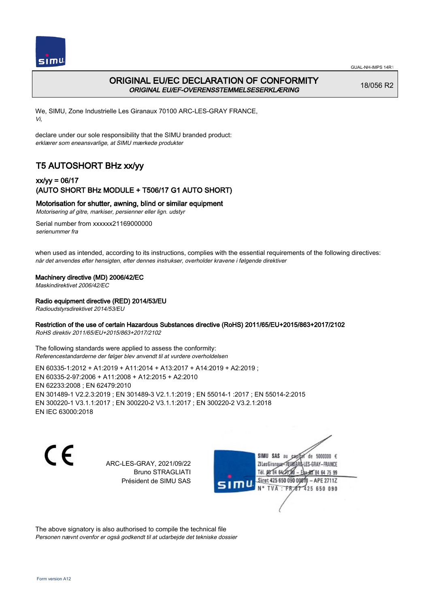

### ORIGINAL EU/EC DECLARATION OF CONFORMITY ORIGINAL EU/EF-OVERENSSTEMMELSESERKLÆRING

18/056 R2

We, SIMU, Zone Industrielle Les Giranaux 70100 ARC-LES-GRAY FRANCE, Vi,

declare under our sole responsibility that the SIMU branded product: erklærer som eneansvarlige, at SIMU mærkede produkter

# T5 AUTOSHORT BHz xx/yy

### xx/yy = 06/17 (AUTO SHORT BHz MODULE + T506/17 G1 AUTO SHORT)

### Motorisation for shutter, awning, blind or similar equipment

Motorisering af gitre, markiser, persienner eller lign. udstyr

Serial number from xxxxxx21169000000 serienummer fra

when used as intended, according to its instructions, complies with the essential requirements of the following directives: når det anvendes efter hensigten, efter dennes instrukser, overholder kravene i følgende direktiver

#### Machinery directive (MD) 2006/42/EC

Maskindirektivet 2006/42/EC

Radio equipment directive (RED) 2014/53/EU

Radioudstyrsdirektivet 2014/53/EU

### Restriction of the use of certain Hazardous Substances directive (RoHS) 2011/65/EU+2015/863+2017/2102

RoHS direktiv 2011/65/EU+2015/863+2017/2102

The following standards were applied to assess the conformity: Referencestandarderne der følger blev anvendt til at vurdere overholdelsen

EN 60335‑1:2012 + A1:2019 + A11:2014 + A13:2017 + A14:2019 + A2:2019 ; EN 60335‑2‑97:2006 + A11:2008 + A12:2015 + A2:2010 EN 62233:2008 ; EN 62479:2010 EN 301489‑1 V2.2.3:2019 ; EN 301489‑3 V2.1.1:2019 ; EN 55014‑1 :2017 ; EN 55014‑2:2015 EN 300220‑1 V3.1.1:2017 ; EN 300220‑2 V3.1.1:2017 ; EN 300220‑2 V3.2.1:2018 EN IEC 63000:2018

C E

ARC-LES-GRAY, 2021/09/22 Bruno STRAGLIATI Président de SIMU SAS

de 5000000  $\epsilon$ SIMU SAS au ZI Les Giranaux< LES-GRAY-FRANCE Tél. 08 84 64 2 64 75 99 Siret 425 650 090 00811  $-$  APF 27117 125 650 090

The above signatory is also authorised to compile the technical file Personen nævnt ovenfor er også godkendt til at udarbejde det tekniske dossier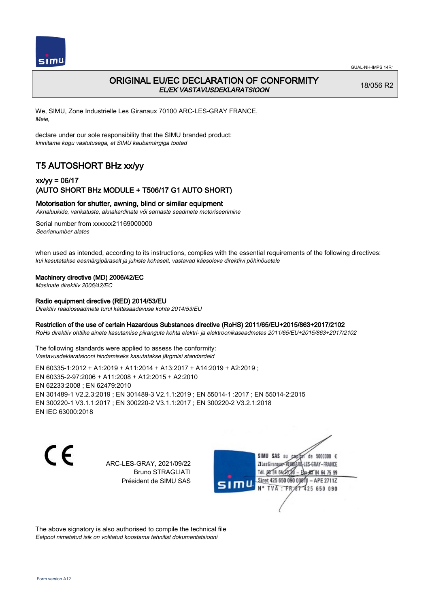

## ORIGINAL EU/EC DECLARATION OF CONFORMITY EL/EK VASTAVUSDEKLARATSIOON

18/056 R2

We, SIMU, Zone Industrielle Les Giranaux 70100 ARC-LES-GRAY FRANCE, Meie,

declare under our sole responsibility that the SIMU branded product: kinnitame kogu vastutusega, et SIMU kaubamärgiga tooted

# T5 AUTOSHORT BHz xx/yy

### xx/yy = 06/17 (AUTO SHORT BHz MODULE + T506/17 G1 AUTO SHORT)

### Motorisation for shutter, awning, blind or similar equipment

Aknaluukide, varikatuste, aknakardinate või sarnaste seadmete motoriseerimine

Serial number from xxxxxx21169000000 Seerianumber alates

when used as intended, according to its instructions, complies with the essential requirements of the following directives: kui kasutatakse eesmärgipäraselt ja juhiste kohaselt, vastavad käesoleva direktiivi põhinõuetele

#### Machinery directive (MD) 2006/42/EC

Masinate direktiiv 2006/42/EC

#### Radio equipment directive (RED) 2014/53/EU

Direktiiv raadioseadmete turul kättesaadavuse kohta 2014/53/EU

#### Restriction of the use of certain Hazardous Substances directive (RoHS) 2011/65/EU+2015/863+2017/2102

RoHs direktiiv ohtlike ainete kasutamise piirangute kohta elektri- ja elektroonikaseadmetes 2011/65/EU+2015/863+2017/2102

The following standards were applied to assess the conformity: Vastavusdeklaratsiooni hindamiseks kasutatakse järgmisi standardeid

EN 60335‑1:2012 + A1:2019 + A11:2014 + A13:2017 + A14:2019 + A2:2019 ; EN 60335‑2‑97:2006 + A11:2008 + A12:2015 + A2:2010 EN 62233:2008 ; EN 62479:2010 EN 301489‑1 V2.2.3:2019 ; EN 301489‑3 V2.1.1:2019 ; EN 55014‑1 :2017 ; EN 55014‑2:2015 EN 300220‑1 V3.1.1:2017 ; EN 300220‑2 V3.1.1:2017 ; EN 300220‑2 V3.2.1:2018 EN IEC 63000:2018

C E

ARC-LES-GRAY, 2021/09/22 Bruno STRAGLIATI Président de SIMU SAS

de 5000000  $\epsilon$ SIMU SAS au ZI Les Giranaux<sup>2</sup> ES-GRAY-FRANCE Tél. 08 84 64 2 64 75 99 Siret 425 650 090 00811  $-$  APF 27117 125 650 090

The above signatory is also authorised to compile the technical file Eelpool nimetatud isik on volitatud koostama tehnilist dokumentatsiooni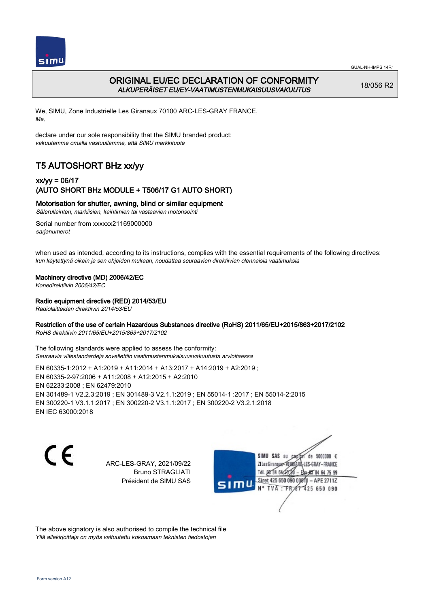

## ORIGINAL EU/EC DECLARATION OF CONFORMITY ALKUPERÄISET EU/EY-VAATIMUSTENMUKAISUUSVAKUUTUS

18/056 R2

We, SIMU, Zone Industrielle Les Giranaux 70100 ARC-LES-GRAY FRANCE, Me,

declare under our sole responsibility that the SIMU branded product: vakuutamme omalla vastuullamme, että SIMU merkkituote

# T5 AUTOSHORT BHz xx/yy

### xx/yy = 06/17 (AUTO SHORT BHz MODULE + T506/17 G1 AUTO SHORT)

Motorisation for shutter, awning, blind or similar equipment

Sälerullainten, markiisien, kaihtimien tai vastaavien motorisointi

Serial number from xxxxxx21169000000 sarianumerot

when used as intended, according to its instructions, complies with the essential requirements of the following directives: kun käytettynä oikein ja sen ohjeiden mukaan, noudattaa seuraavien direktiivien olennaisia vaatimuksia

#### Machinery directive (MD) 2006/42/EC

Konedirektiivin 2006/42/EC

#### Radio equipment directive (RED) 2014/53/EU

Radiolaitteiden direktiivin 2014/53/EU

#### Restriction of the use of certain Hazardous Substances directive (RoHS) 2011/65/EU+2015/863+2017/2102

RoHS direktiivin 2011/65/EU+2015/863+2017/2102

The following standards were applied to assess the conformity: Seuraavia viitestandardeja sovellettiin vaatimustenmukaisuusvakuutusta arvioitaessa

EN 60335‑1:2012 + A1:2019 + A11:2014 + A13:2017 + A14:2019 + A2:2019 ; EN 60335‑2‑97:2006 + A11:2008 + A12:2015 + A2:2010 EN 62233:2008 ; EN 62479:2010 EN 301489‑1 V2.2.3:2019 ; EN 301489‑3 V2.1.1:2019 ; EN 55014‑1 :2017 ; EN 55014‑2:2015 EN 300220‑1 V3.1.1:2017 ; EN 300220‑2 V3.1.1:2017 ; EN 300220‑2 V3.2.1:2018 EN IEC 63000:2018

C E

ARC-LES-GRAY, 2021/09/22 Bruno STRAGLIATI Président de SIMU SAS

de 5000000  $\epsilon$ SIMU SAS au ZI Les Giranaux< ES-GRAY-FRANCE Tél. 08 84 64 2 64 75 99 Siret 425 650 090 00811  $-$  APF 27117 125 650 090

The above signatory is also authorised to compile the technical file Yllä allekirjoittaja on myös valtuutettu kokoamaan teknisten tiedostojen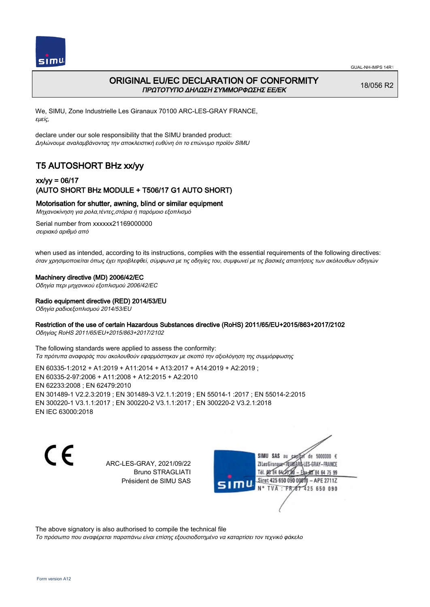



## ORIGINAL EU/EC DECLARATION OF CONFORMITY ΠΡΩΤΟΤΥΠΟ ΔΗΛΩΣΗ ΣΥΜΜΟΡΦΩΣΗΣ ΕΕ/EK

18/056 R2

We, SIMU, Zone Industrielle Les Giranaux 70100 ARC-LES-GRAY FRANCE, εμείς,

declare under our sole responsibility that the SIMU branded product: Δηλώνουμε αναλαμβάνοντας την αποκλειστική ευθύνη ότι το επώνυμο προϊόν SIMU

## T5 AUTOSHORT BHz xx/yy

### xx/yy = 06/17 (AUTO SHORT BHz MODULE + T506/17 G1 AUTO SHORT)

Motorisation for shutter, awning, blind or similar equipment

Μηχανοκίνηση για ρολα,τέντες,στόρια ή παρόμοιο εξοπλισμό

Serial number from xxxxxx21169000000 σειριακό αριθμό από

when used as intended, according to its instructions, complies with the essential requirements of the following directives: όταν χρησιμοποιείται όπως έχει προβλεφθεί, σύμφωνα με τις οδηγίες του, συμφωνεί με τις βασικές απαιτήσεις των ακόλουθων οδηγιών

#### Machinery directive (MD) 2006/42/EC

Οδηγία περι μηχανικού εξοπλισμού 2006/42/EC

Radio equipment directive (RED) 2014/53/EU

Οδηγία ραδιοεξοπλισμού 2014/53/EU

#### Restriction of the use of certain Hazardous Substances directive (RoHS) 2011/65/EU+2015/863+2017/2102

Οδηγίας RoHS 2011/65/EU+2015/863+2017/2102

The following standards were applied to assess the conformity: Τα πρότυπα αναφοράς που ακολουθούν εφαρμόστηκαν με σκοπό την αξιολόγηση της συμμόρφωσης

EN 60335‑1:2012 + A1:2019 + A11:2014 + A13:2017 + A14:2019 + A2:2019 ; EN 60335‑2‑97:2006 + A11:2008 + A12:2015 + A2:2010 EN 62233:2008 ; EN 62479:2010 EN 301489‑1 V2.2.3:2019 ; EN 301489‑3 V2.1.1:2019 ; EN 55014‑1 :2017 ; EN 55014‑2:2015 EN 300220‑1 V3.1.1:2017 ; EN 300220‑2 V3.1.1:2017 ; EN 300220‑2 V3.2.1:2018 EN IEC 63000:2018

C E

ARC-LES-GRAY, 2021/09/22 Bruno STRAGLIATI Président de SIMU SAS

de 5000000  $\epsilon$ SIMU SAS au ZI Les Giranaux-70180 LES-GRAY-FRANCE THE DR R4 64/28 64 75 99 Siret 425 650 090 00811  $-$  APF 27117 125 650 090

The above signatory is also authorised to compile the technical file

Το πρόσωπο που αναφέρεται παραπάνω είναι επίσης εξουσιοδοτημένο να καταρτίσει τον τεχνικό φάκελο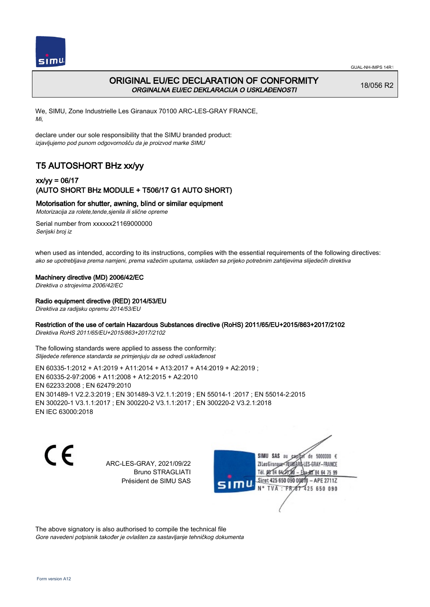

## ORIGINAL EU/EC DECLARATION OF CONFORMITY ORGINALNA EU/EC DEKLARACIJA O USKLAĐENOSTI

18/056 R2

We, SIMU, Zone Industrielle Les Giranaux 70100 ARC-LES-GRAY FRANCE, Mi,

declare under our sole responsibility that the SIMU branded product: izjavljujemo pod punom odgovornošču da je proizvod marke SIMU

# T5 AUTOSHORT BHz xx/yy

### xx/yy = 06/17 (AUTO SHORT BHz MODULE + T506/17 G1 AUTO SHORT)

### Motorisation for shutter, awning, blind or similar equipment

Motorizacija za rolete,tende,sjenila ili slične opreme

Serial number from xxxxxx21169000000 Serijski broj iz

when used as intended, according to its instructions, complies with the essential requirements of the following directives: ako se upotrebljava prema namjeni, prema važećim uputama, usklađen sa prijeko potrebnim zahtijevima slijedećih direktiva

#### Machinery directive (MD) 2006/42/EC

Direktiva o strojevima 2006/42/EC

#### Radio equipment directive (RED) 2014/53/EU

Direktiva za radijsku opremu 2014/53/EU

#### Restriction of the use of certain Hazardous Substances directive (RoHS) 2011/65/EU+2015/863+2017/2102

Direktiva RoHS 2011/65/EU+2015/863+2017/2102

The following standards were applied to assess the conformity: Slijedeće reference standarda se primjenjuju da se odredi usklađenost

EN 60335‑1:2012 + A1:2019 + A11:2014 + A13:2017 + A14:2019 + A2:2019 ; EN 60335‑2‑97:2006 + A11:2008 + A12:2015 + A2:2010 EN 62233:2008 ; EN 62479:2010 EN 301489‑1 V2.2.3:2019 ; EN 301489‑3 V2.1.1:2019 ; EN 55014‑1 :2017 ; EN 55014‑2:2015 EN 300220‑1 V3.1.1:2017 ; EN 300220‑2 V3.1.1:2017 ; EN 300220‑2 V3.2.1:2018 EN IEC 63000:2018

C E

ARC-LES-GRAY, 2021/09/22 Bruno STRAGLIATI Président de SIMU SAS

de 5000000  $\epsilon$ SIMU SAS au ZI Les Giranaux</D LES-GRAY-FRANCE Tél. 08 R4 64 2 64 75 99 Siret 425 650 090 00811  $-$  APF 27117 125 650 090

The above signatory is also authorised to compile the technical file Gore navedeni potpisnik također je ovlašten za sastavljanje tehničkog dokumenta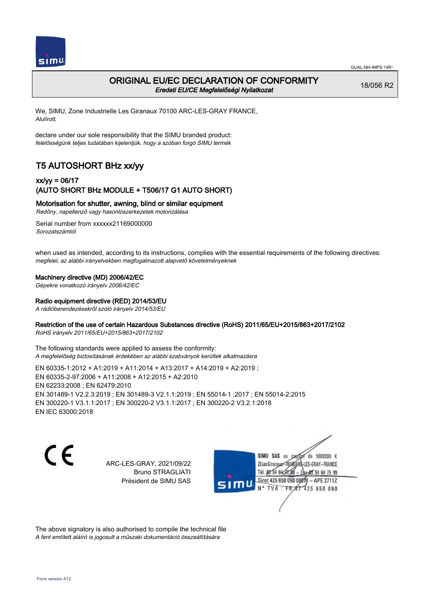

### ORIGINAL EU/EC DECLARATION OF CONFORMITY Eredeti EU/CE Megfelelőségi Nyilatkozat

18/056 R2

We, SIMU, Zone Industrielle Les Giranaux 70100 ARC-LES-GRAY FRANCE, Alulírott,

declare under our sole responsibility that the SIMU branded product: felelősségünk teljes tudatában kijelentjük, hogy a szóban forgó SIMU termék

# T5 AUTOSHORT BHz xx/yy

### xx/yy = 06/17 (AUTO SHORT BHz MODULE + T506/17 G1 AUTO SHORT)

Motorisation for shutter, awning, blind or similar equipment

Redőny, napellenző vagy hasonlószerkezetek motorizálása

Serial number from xxxxxx21169000000 Sorozatszámtól

when used as intended, according to its instructions, complies with the essential requirements of the following directives: megfelel, az alábbi irányelvekben megfogalmazott alapvető követelményeknek

#### Machinery directive (MD) 2006/42/EC

Gépekre vonatkozó irányelv 2006/42/EC

#### Radio equipment directive (RED) 2014/53/EU

A rádióberendezésekről szóló irányelv 2014/53/EU

### Restriction of the use of certain Hazardous Substances directive (RoHS) 2011/65/EU+2015/863+2017/2102

RoHS irányelv 2011/65/EU+2015/863+2017/2102

The following standards were applied to assess the conformity: A megfelelőség biztosításának érdekében az alábbi szabványok kerültek alkalmazásra

EN 60335‑1:2012 + A1:2019 + A11:2014 + A13:2017 + A14:2019 + A2:2019 ; EN 60335‑2‑97:2006 + A11:2008 + A12:2015 + A2:2010 EN 62233:2008 ; EN 62479:2010 EN 301489‑1 V2.2.3:2019 ; EN 301489‑3 V2.1.1:2019 ; EN 55014‑1 :2017 ; EN 55014‑2:2015 EN 300220‑1 V3.1.1:2017 ; EN 300220‑2 V3.1.1:2017 ; EN 300220‑2 V3.2.1:2018 EN IEC 63000:2018

C E

ARC-LES-GRAY, 2021/09/22 Bruno STRAGLIATI Président de SIMU SAS

de 5000000  $\epsilon$ SIMU SAS au ZI Les Giranaux< LES-GRAY-FRANCE Tél. 08 84 64 2 64 75 99 Siret 425 650 090 00811  $-$  APF 27117 125 650 090

The above signatory is also authorised to compile the technical file A fent említett aláíró is jogosult a műszaki dokumentáció összeállítására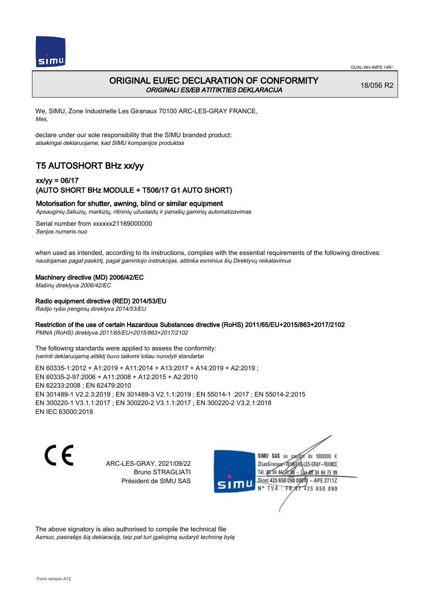

## ORIGINAL EU/EC DECLARATION OF CONFORMITY ORIGINALI ES/EB ATITIKTIES DEKLARACIJA

18/056 R2

We, SIMU, Zone Industrielle Les Giranaux 70100 ARC-LES-GRAY FRANCE, Mes,

declare under our sole responsibility that the SIMU branded product: atsakingai deklaruojame, kad SIMU kompanijos produktas

# T5 AUTOSHORT BHz xx/yy

### xx/yy = 06/17 (AUTO SHORT BHz MODULE + T506/17 G1 AUTO SHORT)

#### Motorisation for shutter, awning, blind or similar equipment

Apsauginių žaliuzių, markizių, ritininių užuolaidų ir panašių gaminių automatizavimas

Serial number from xxxxxx21169000000 Serijos numeris nuo

when used as intended, according to its instructions, complies with the essential requirements of the following directives: naudojamas pagal paskirtį, pagal gamintojo instrukcijas, atitinka esminius šių Direktyvų reikalavimus

#### Machinery directive (MD) 2006/42/EC

Mašinų direktyva 2006/42/EC

#### Radio equipment directive (RED) 2014/53/EU

Radijo ryšio įrenginių direktyva 2014/53/EU

#### Restriction of the use of certain Hazardous Substances directive (RoHS) 2011/65/EU+2015/863+2017/2102

PMNA (RoHS) direktyva 2011/65/EU+2015/863+2017/2102

The following standards were applied to assess the conformity: Įverinti deklaruojamą atitiktį buvo taikomi toliau nurodyti standartai

EN 60335‑1:2012 + A1:2019 + A11:2014 + A13:2017 + A14:2019 + A2:2019 ; EN 60335‑2‑97:2006 + A11:2008 + A12:2015 + A2:2010 EN 62233:2008 ; EN 62479:2010 EN 301489‑1 V2.2.3:2019 ; EN 301489‑3 V2.1.1:2019 ; EN 55014‑1 :2017 ; EN 55014‑2:2015 EN 300220‑1 V3.1.1:2017 ; EN 300220‑2 V3.1.1:2017 ; EN 300220‑2 V3.2.1:2018 EN IEC 63000:2018

C E

ARC-LES-GRAY, 2021/09/22 Bruno STRAGLIATI Président de SIMU SAS

de 5000000  $\epsilon$ SIMU SAS au ZI Les Giranaux-70180 LES-GRAY-FRANCE Tél. 08 R4 64 24 64 75 99 Siret 425 650 090 0081  $-$  APF 27117 **TVA · FR** 125 650 090

The above signatory is also authorised to compile the technical file Asmuo, pasirašęs šią deklaraciją, taip pat turi įgaliojimą sudaryti techninę bylą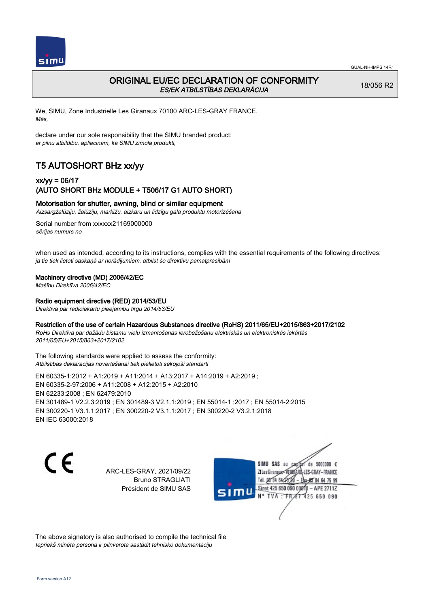

## ORIGINAL EU/EC DECLARATION OF CONFORMITY ES/EK ATBILSTĪBAS DEKLARĀCIJA

18/056 R2

We, SIMU, Zone Industrielle Les Giranaux 70100 ARC-LES-GRAY FRANCE, Mēs,

declare under our sole responsibility that the SIMU branded product: ar pilnu atbildību, apliecinām, ka SIMU zīmola produkti,

# T5 AUTOSHORT BHz xx/yy

### xx/yy = 06/17 (AUTO SHORT BHz MODULE + T506/17 G1 AUTO SHORT)

### Motorisation for shutter, awning, blind or similar equipment

Aizsargžalūziju, žalūziju, markīžu, aizkaru un līdzīgu gala produktu motorizēšana

Serial number from xxxxxx21169000000 sērijas numurs no

when used as intended, according to its instructions, complies with the essential requirements of the following directives: ja tie tiek lietoti saskaņā ar norādījumiem, atbilst šo direktīvu pamatprasībām

#### Machinery directive (MD) 2006/42/EC

Mašīnu Direktīva 2006/42/EC

#### Radio equipment directive (RED) 2014/53/EU

Direktīva par radioiekārtu pieejamību tirgū 2014/53/EU

### Restriction of the use of certain Hazardous Substances directive (RoHS) 2011/65/EU+2015/863+2017/2102

RoHs Direktīva par dažādu bīstamu vielu izmantošanas ierobežošanu elektriskās un elektroniskās iekārtās 2011/65/EU+2015/863+2017/2102

The following standards were applied to assess the conformity: Atbilstības deklarācijas novērtēšanai tiek pielietoti sekojoši standarti

EN 60335‑1:2012 + A1:2019 + A11:2014 + A13:2017 + A14:2019 + A2:2019 ; EN 60335‑2‑97:2006 + A11:2008 + A12:2015 + A2:2010 EN 62233:2008 ; EN 62479:2010 EN 301489‑1 V2.2.3:2019 ; EN 301489‑3 V2.1.1:2019 ; EN 55014‑1 :2017 ; EN 55014‑2:2015 EN 300220‑1 V3.1.1:2017 ; EN 300220‑2 V3.1.1:2017 ; EN 300220‑2 V3.2.1:2018 EN IEC 63000:2018

C E

ARC-LES-GRAY, 2021/09/22 Bruno STRAGLIATI Président de SIMU SAS



The above signatory is also authorised to compile the technical file Iepriekš minētā persona ir pilnvarota sastādīt tehnisko dokumentāciju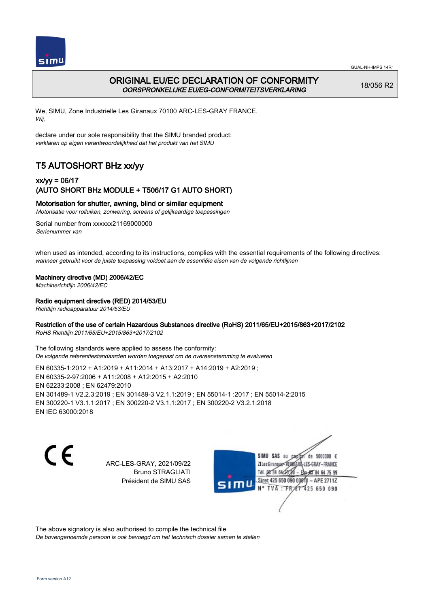

## ORIGINAL EU/EC DECLARATION OF CONFORMITY OORSPRONKELIJKE EU/EG-CONFORMITEITSVERKLARING

18/056 R2

We, SIMU, Zone Industrielle Les Giranaux 70100 ARC-LES-GRAY FRANCE, Wij,

declare under our sole responsibility that the SIMU branded product: verklaren op eigen verantwoordelijkheid dat het produkt van het SIMU

# T5 AUTOSHORT BHz xx/yy

### xx/yy = 06/17 (AUTO SHORT BHz MODULE + T506/17 G1 AUTO SHORT)

#### Motorisation for shutter, awning, blind or similar equipment

Motorisatie voor rolluiken, zonwering, screens of gelijkaardige toepassingen

Serial number from xxxxxx21169000000 Serienummer van

when used as intended, according to its instructions, complies with the essential requirements of the following directives: wanneer gebruikt voor de juiste toepassing voldoet aan de essentiële eisen van de volgende richtlijnen

#### Machinery directive (MD) 2006/42/EC

Machinerichtlijn 2006/42/EC

#### Radio equipment directive (RED) 2014/53/EU

Richtlijn radioapparatuur 2014/53/EU

#### Restriction of the use of certain Hazardous Substances directive (RoHS) 2011/65/EU+2015/863+2017/2102

RoHS Richtlijn 2011/65/EU+2015/863+2017/2102

The following standards were applied to assess the conformity: De volgende referentiestandaarden worden toegepast om de overeenstemming te evalueren

EN 60335‑1:2012 + A1:2019 + A11:2014 + A13:2017 + A14:2019 + A2:2019 ; EN 60335‑2‑97:2006 + A11:2008 + A12:2015 + A2:2010 EN 62233:2008 ; EN 62479:2010 EN 301489‑1 V2.2.3:2019 ; EN 301489‑3 V2.1.1:2019 ; EN 55014‑1 :2017 ; EN 55014‑2:2015 EN 300220‑1 V3.1.1:2017 ; EN 300220‑2 V3.1.1:2017 ; EN 300220‑2 V3.2.1:2018 EN IEC 63000:2018

C E

ARC-LES-GRAY, 2021/09/22 Bruno STRAGLIATI Président de SIMU SAS

de 5000000  $\epsilon$ SIMU SAS au ZI Les Giranaux< LES-GRAY-FRANCE Tél. 08 R4 64 2 64 75 99 Siret 425 650 090 00811  $-$  APF 27117 125 650 090

The above signatory is also authorised to compile the technical file De bovengenoemde persoon is ook bevoegd om het technisch dossier samen te stellen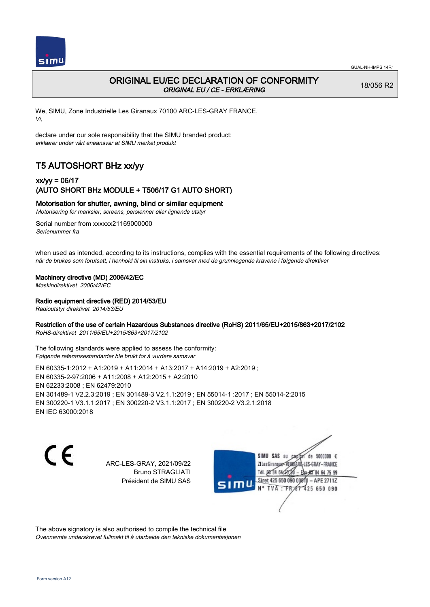

## ORIGINAL EU/EC DECLARATION OF CONFORMITY ORIGINAL EU / CE - ERKLÆRING

18/056 R2

We, SIMU, Zone Industrielle Les Giranaux 70100 ARC-LES-GRAY FRANCE, Vi,

declare under our sole responsibility that the SIMU branded product: erklærer under vårt eneansvar at SIMU merket produkt

# T5 AUTOSHORT BHz xx/yy

### xx/yy = 06/17 (AUTO SHORT BHz MODULE + T506/17 G1 AUTO SHORT)

#### Motorisation for shutter, awning, blind or similar equipment

Motorisering for marksier, screens, persienner eller lignende utstyr

Serial number from xxxxxx21169000000 Serienummer fra

when used as intended, according to its instructions, complies with the essential requirements of the following directives: når de brukes som forutsatt, i henhold til sin instruks, i samsvar med de grunnlegende kravene i følgende direktiver

#### Machinery directive (MD) 2006/42/EC

Maskindirektivet 2006/42/EC

#### Radio equipment directive (RED) 2014/53/EU

Radioutstyr direktivet 2014/53/EU

#### Restriction of the use of certain Hazardous Substances directive (RoHS) 2011/65/EU+2015/863+2017/2102

RoHS-direktivet 2011/65/EU+2015/863+2017/2102

The following standards were applied to assess the conformity: Følgende referansestandarder ble brukt for å vurdere samsvar

EN 60335‑1:2012 + A1:2019 + A11:2014 + A13:2017 + A14:2019 + A2:2019 ; EN 60335‑2‑97:2006 + A11:2008 + A12:2015 + A2:2010 EN 62233:2008 ; EN 62479:2010 EN 301489‑1 V2.2.3:2019 ; EN 301489‑3 V2.1.1:2019 ; EN 55014‑1 :2017 ; EN 55014‑2:2015 EN 300220‑1 V3.1.1:2017 ; EN 300220‑2 V3.1.1:2017 ; EN 300220‑2 V3.2.1:2018 EN IEC 63000:2018

C E

ARC-LES-GRAY, 2021/09/22 Bruno STRAGLIATI Président de SIMU SAS

de 5000000  $\epsilon$ SIMU SAS au ZI Les Giranaux< ES-GRAY-FRANCE Tél. 08 84 64 2 64 75 99 Siret 425 650 090 00811  $-$  APF 27117 125 650 090

The above signatory is also authorised to compile the technical file Ovennevnte underskrevet fullmakt til å utarbeide den tekniske dokumentasjonen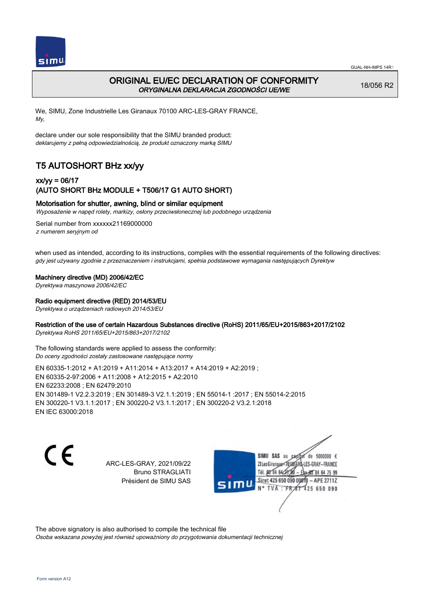

## ORIGINAL EU/EC DECLARATION OF CONFORMITY ORYGINALNA DEKLARACJA ZGODNOŚCI UE/WE

18/056 R2

We, SIMU, Zone Industrielle Les Giranaux 70100 ARC-LES-GRAY FRANCE, My,

declare under our sole responsibility that the SIMU branded product: deklarujemy z pełną odpowiedzialnością, że produkt oznaczony marką SIMU

# T5 AUTOSHORT BHz xx/yy

### xx/yy = 06/17 (AUTO SHORT BHz MODULE + T506/17 G1 AUTO SHORT)

#### Motorisation for shutter, awning, blind or similar equipment

Wyposażenie w napęd rolety, markizy, osłony przeciwsłonecznej lub podobnego urządzenia

Serial number from xxxxxx21169000000 z numerem seryjnym od

when used as intended, according to its instructions, complies with the essential requirements of the following directives: gdy jest używany zgodnie z przeznaczeniem i instrukcjami, spełnia podstawowe wymagania następujących Dyrektyw

#### Machinery directive (MD) 2006/42/EC

Dyrektywa maszynowa 2006/42/EC

#### Radio equipment directive (RED) 2014/53/EU

Dyrektywa o urządzeniach radiowych 2014/53/EU

### Restriction of the use of certain Hazardous Substances directive (RoHS) 2011/65/EU+2015/863+2017/2102

Dyrektywa RoHS 2011/65/EU+2015/863+2017/2102

The following standards were applied to assess the conformity: Do oceny zgodności zostały zastosowane następujące normy

EN 60335‑1:2012 + A1:2019 + A11:2014 + A13:2017 + A14:2019 + A2:2019 ; EN 60335‑2‑97:2006 + A11:2008 + A12:2015 + A2:2010 EN 62233:2008 ; EN 62479:2010 EN 301489‑1 V2.2.3:2019 ; EN 301489‑3 V2.1.1:2019 ; EN 55014‑1 :2017 ; EN 55014‑2:2015 EN 300220‑1 V3.1.1:2017 ; EN 300220‑2 V3.1.1:2017 ; EN 300220‑2 V3.2.1:2018 EN IEC 63000:2018

C E

ARC-LES-GRAY, 2021/09/22 Bruno STRAGLIATI Président de SIMU SAS

de 5000000  $\epsilon$ SIMU SAS au ZI Les Giranaux-70180 LES-GRAY-FRANCE Tél. 08 R4 64 2 64 75 99 Siret 425 650 090 00811  $-$  APF 27117 125 650 090

The above signatory is also authorised to compile the technical file Osoba wskazana powyżej jest również upoważniony do przygotowania dokumentacji technicznej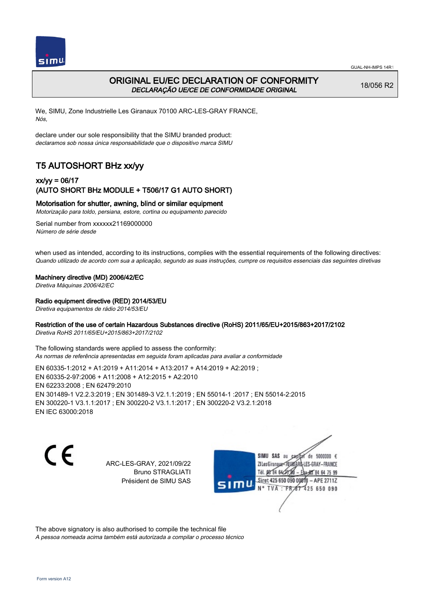

## ORIGINAL EU/EC DECLARATION OF CONFORMITY DECLARAÇÃO UE/CE DE CONFORMIDADE ORIGINAL

18/056 R2

We, SIMU, Zone Industrielle Les Giranaux 70100 ARC-LES-GRAY FRANCE, Nós,

declare under our sole responsibility that the SIMU branded product: declaramos sob nossa única responsabilidade que o dispositivo marca SIMU

# T5 AUTOSHORT BHz xx/yy

### xx/yy = 06/17 (AUTO SHORT BHz MODULE + T506/17 G1 AUTO SHORT)

#### Motorisation for shutter, awning, blind or similar equipment

Motorização para toldo, persiana, estore, cortina ou equipamento parecido

Serial number from xxxxxx21169000000 Número de série desde

when used as intended, according to its instructions, complies with the essential requirements of the following directives: Quando utilizado de acordo com sua a aplicação, segundo as suas instruções, cumpre os requisitos essenciais das seguintes diretivas

#### Machinery directive (MD) 2006/42/EC

Diretiva Máquinas 2006/42/EC

#### Radio equipment directive (RED) 2014/53/EU

Diretiva equipamentos de rádio 2014/53/EU

#### Restriction of the use of certain Hazardous Substances directive (RoHS) 2011/65/EU+2015/863+2017/2102

Diretiva RoHS 2011/65/EU+2015/863+2017/2102

The following standards were applied to assess the conformity: As normas de referência apresentadas em seguida foram aplicadas para avaliar a conformidade

EN 60335‑1:2012 + A1:2019 + A11:2014 + A13:2017 + A14:2019 + A2:2019 ; EN 60335‑2‑97:2006 + A11:2008 + A12:2015 + A2:2010 EN 62233:2008 ; EN 62479:2010 EN 301489‑1 V2.2.3:2019 ; EN 301489‑3 V2.1.1:2019 ; EN 55014‑1 :2017 ; EN 55014‑2:2015 EN 300220‑1 V3.1.1:2017 ; EN 300220‑2 V3.1.1:2017 ; EN 300220‑2 V3.2.1:2018 EN IEC 63000:2018

C E

ARC-LES-GRAY, 2021/09/22 Bruno STRAGLIATI Président de SIMU SAS

de 5000000  $\epsilon$ SIMU SAS au ZI Les Giranaux< ES-GRAY-FRANCE Tél. 08 84 64 2 64 75 99 Siret 425 650 090 00811  $-$  APF 27117 125 650 090

The above signatory is also authorised to compile the technical file A pessoa nomeada acima também está autorizada a compilar o processo técnico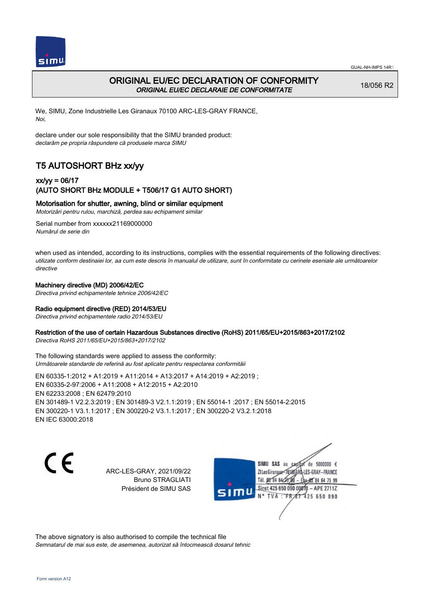

## ORIGINAL EU/EC DECLARATION OF CONFORMITY ORIGINAL EU/EC DECLARAIE DE CONFORMITATE

18/056 R2

We, SIMU, Zone Industrielle Les Giranaux 70100 ARC-LES-GRAY FRANCE, Noi,

declare under our sole responsibility that the SIMU branded product: declarăm pe propria răspundere că produsele marca SIMU

# T5 AUTOSHORT BHz xx/yy

### xx/yy = 06/17 (AUTO SHORT BHz MODULE + T506/17 G1 AUTO SHORT)

#### Motorisation for shutter, awning, blind or similar equipment

Motorizări pentru rulou, marchiză, perdea sau echipament similar

Serial number from xxxxxx21169000000 Numărul de serie din

when used as intended, according to its instructions, complies with the essential requirements of the following directives: utilizate conform destinaiei lor, aa cum este descris în manualul de utilizare, sunt în conformitate cu cerinele eseniale ale următoarelor directive

#### Machinery directive (MD) 2006/42/EC

Directiva privind echipamentele tehnice 2006/42/EC

### Radio equipment directive (RED) 2014/53/EU

Directiva privind echipamentele radio 2014/53/EU

#### Restriction of the use of certain Hazardous Substances directive (RoHS) 2011/65/EU+2015/863+2017/2102

Directiva RoHS 2011/65/EU+2015/863+2017/2102

The following standards were applied to assess the conformity: Următoarele standarde de referină au fost aplicate pentru respectarea conformităii

EN 60335‑1:2012 + A1:2019 + A11:2014 + A13:2017 + A14:2019 + A2:2019 ; EN 60335‑2‑97:2006 + A11:2008 + A12:2015 + A2:2010 EN 62233:2008 ; EN 62479:2010 EN 301489‑1 V2.2.3:2019 ; EN 301489‑3 V2.1.1:2019 ; EN 55014‑1 :2017 ; EN 55014‑2:2015 EN 300220‑1 V3.1.1:2017 ; EN 300220‑2 V3.1.1:2017 ; EN 300220‑2 V3.2.1:2018 EN IEC 63000:2018

 $\epsilon$ 

ARC-LES-GRAY, 2021/09/22 Bruno STRAGLIATI Président de SIMU SAS

de 5000000 € SIMU SAS au ZI Les Giranaux< LES-GRAY-FRANCE Tél. 08 84 64 24 95 84 64 75 99 Siret 425 650 090 00811 - APE 2711Z  $TVA$ : FRAT 425 650 090

The above signatory is also authorised to compile the technical file Semnatarul de mai sus este, de asemenea, autorizat să întocmească dosarul tehnic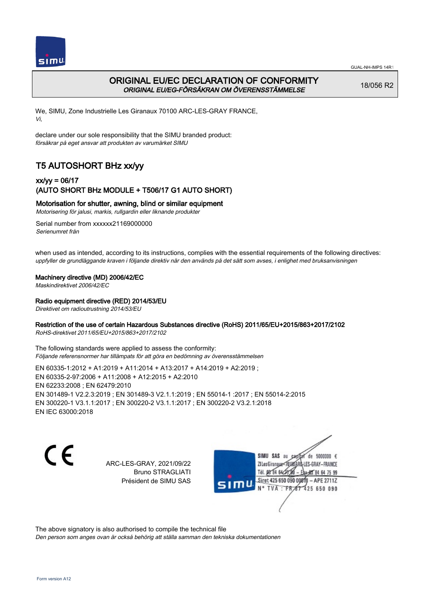

## ORIGINAL EU/EC DECLARATION OF CONFORMITY ORIGINAL EU/EG-FÖRSÄKRAN OM ÖVERENSSTÄMMELSE

18/056 R2

We, SIMU, Zone Industrielle Les Giranaux 70100 ARC-LES-GRAY FRANCE, Vi,

declare under our sole responsibility that the SIMU branded product: försäkrar på eget ansvar att produkten av varumärket SIMU

# T5 AUTOSHORT BHz xx/yy

### xx/yy = 06/17 (AUTO SHORT BHz MODULE + T506/17 G1 AUTO SHORT)

### Motorisation for shutter, awning, blind or similar equipment

Motorisering för jalusi, markis, rullgardin eller liknande produkter

Serial number from xxxxxx21169000000 Serienumret från

when used as intended, according to its instructions, complies with the essential requirements of the following directives: uppfyller de grundläggande kraven i följande direktiv när den används på det sätt som avses, i enlighet med bruksanvisningen

### Machinery directive (MD) 2006/42/EC

Maskindirektivet 2006/42/EC

#### Radio equipment directive (RED) 2014/53/EU

Direktivet om radioutrustning 2014/53/EU

#### Restriction of the use of certain Hazardous Substances directive (RoHS) 2011/65/EU+2015/863+2017/2102

RoHS-direktivet 2011/65/EU+2015/863+2017/2102

The following standards were applied to assess the conformity: Följande referensnormer har tillämpats för att göra en bedömning av överensstämmelsen

EN 60335‑1:2012 + A1:2019 + A11:2014 + A13:2017 + A14:2019 + A2:2019 ; EN 60335‑2‑97:2006 + A11:2008 + A12:2015 + A2:2010 EN 62233:2008 ; EN 62479:2010 EN 301489‑1 V2.2.3:2019 ; EN 301489‑3 V2.1.1:2019 ; EN 55014‑1 :2017 ; EN 55014‑2:2015 EN 300220‑1 V3.1.1:2017 ; EN 300220‑2 V3.1.1:2017 ; EN 300220‑2 V3.2.1:2018 EN IEC 63000:2018

C E

ARC-LES-GRAY, 2021/09/22 Bruno STRAGLIATI Président de SIMU SAS

de 5000000  $\epsilon$ SIMU SAS au ZI Les Giranaux<sup>2</sup> ES-GRAY-FRANCE Tél. 08 84 64 2 64 75 99 Siret 425 650 090 00811  $-$  APF 27117 125 650 090

The above signatory is also authorised to compile the technical file

Den person som anges ovan är också behörig att ställa samman den tekniska dokumentationen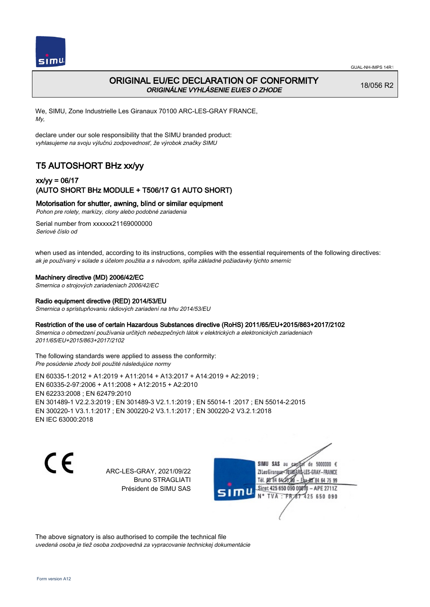

## ORIGINAL EU/EC DECLARATION OF CONFORMITY ORIGINÁLNE VYHLÁSENIE EU/ES O ZHODE

18/056 R2

We, SIMU, Zone Industrielle Les Giranaux 70100 ARC-LES-GRAY FRANCE, My,

declare under our sole responsibility that the SIMU branded product: vyhlasujeme na svoju výlučnú zodpovednosť, že výrobok značky SIMU

# T5 AUTOSHORT BHz xx/yy

### xx/yy = 06/17 (AUTO SHORT BHz MODULE + T506/17 G1 AUTO SHORT)

Motorisation for shutter, awning, blind or similar equipment

Pohon pre rolety, markízy, clony alebo podobné zariadenia

Serial number from xxxxxx21169000000 Seriové číslo od

when used as intended, according to its instructions, complies with the essential requirements of the following directives: ak je používaný v súlade s účelom použitia a s návodom, spĺňa základné požiadavky týchto smerníc

#### Machinery directive (MD) 2006/42/EC

Smernica o strojových zariadeniach 2006/42/EC

#### Radio equipment directive (RED) 2014/53/EU

Smernica o sprístupňovaniu rádiových zariadení na trhu 2014/53/EU

#### Restriction of the use of certain Hazardous Substances directive (RoHS) 2011/65/EU+2015/863+2017/2102

Smernica o obmedzení používania určitých nebezpečných látok v elektrických a elektronických zariadeniach 2011/65/EU+2015/863+2017/2102

#### The following standards were applied to assess the conformity: Pre posúdenie zhody boli použité následujúce normy

EN 60335‑1:2012 + A1:2019 + A11:2014 + A13:2017 + A14:2019 + A2:2019 ; EN 60335‑2‑97:2006 + A11:2008 + A12:2015 + A2:2010 EN 62233:2008 ; EN 62479:2010 EN 301489‑1 V2.2.3:2019 ; EN 301489‑3 V2.1.1:2019 ; EN 55014‑1 :2017 ; EN 55014‑2:2015 EN 300220‑1 V3.1.1:2017 ; EN 300220‑2 V3.1.1:2017 ; EN 300220‑2 V3.2.1:2018 EN IEC 63000:2018

 $\epsilon$ 

ARC-LES-GRAY, 2021/09/22 Bruno STRAGLIATI Président de SIMU SAS



The above signatory is also authorised to compile the technical file uvedená osoba je tiež osoba zodpovedná za vypracovanie technickej dokumentácie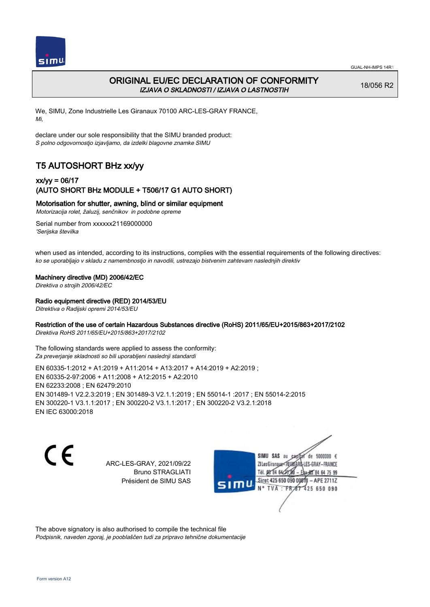

## ORIGINAL EU/EC DECLARATION OF CONFORMITY IZJAVA O SKLADNOSTI / IZJAVA O LASTNOSTIH

18/056 R2

We, SIMU, Zone Industrielle Les Giranaux 70100 ARC-LES-GRAY FRANCE, Mi,

declare under our sole responsibility that the SIMU branded product: S polno odgovornostjo izjavljamo, da izdelki blagovne znamke SIMU

# T5 AUTOSHORT BHz xx/yy

### xx/yy = 06/17 (AUTO SHORT BHz MODULE + T506/17 G1 AUTO SHORT)

### Motorisation for shutter, awning, blind or similar equipment

Motorizacija rolet, žaluzij, senčnikov in podobne opreme

Serial number from xxxxxx21169000000 'Serijska številka

when used as intended, according to its instructions, complies with the essential requirements of the following directives: ko se uporabljajo v skladu z namembnostjo in navodili, ustrezajo bistvenim zahtevam naslednjih direktiv

#### Machinery directive (MD) 2006/42/EC

Direktiva o strojih 2006/42/EC

#### Radio equipment directive (RED) 2014/53/EU

Ditrektiva o Radijski opremi 2014/53/EU

#### Restriction of the use of certain Hazardous Substances directive (RoHS) 2011/65/EU+2015/863+2017/2102

Direktiva RoHS 2011/65/EU+2015/863+2017/2102

The following standards were applied to assess the conformity: Za preverjanje skladnosti so bili uporabljeni naslednji standardi

EN 60335‑1:2012 + A1:2019 + A11:2014 + A13:2017 + A14:2019 + A2:2019 ; EN 60335‑2‑97:2006 + A11:2008 + A12:2015 + A2:2010 EN 62233:2008 ; EN 62479:2010 EN 301489‑1 V2.2.3:2019 ; EN 301489‑3 V2.1.1:2019 ; EN 55014‑1 :2017 ; EN 55014‑2:2015 EN 300220‑1 V3.1.1:2017 ; EN 300220‑2 V3.1.1:2017 ; EN 300220‑2 V3.2.1:2018 EN IEC 63000:2018

C E

ARC-LES-GRAY, 2021/09/22 Bruno STRAGLIATI Président de SIMU SAS

de 5000000  $\epsilon$ SIMU SAS au ZI Les Giranaux-70180 LES-GRAY-FRANCE Tél. 08 R4 64 2 64 75 99 Siret 425 650 090 00811  $-$  APF 27117 125 650 090

The above signatory is also authorised to compile the technical file Podpisnik, naveden zgoraj, je pooblaščen tudi za pripravo tehnične dokumentacije